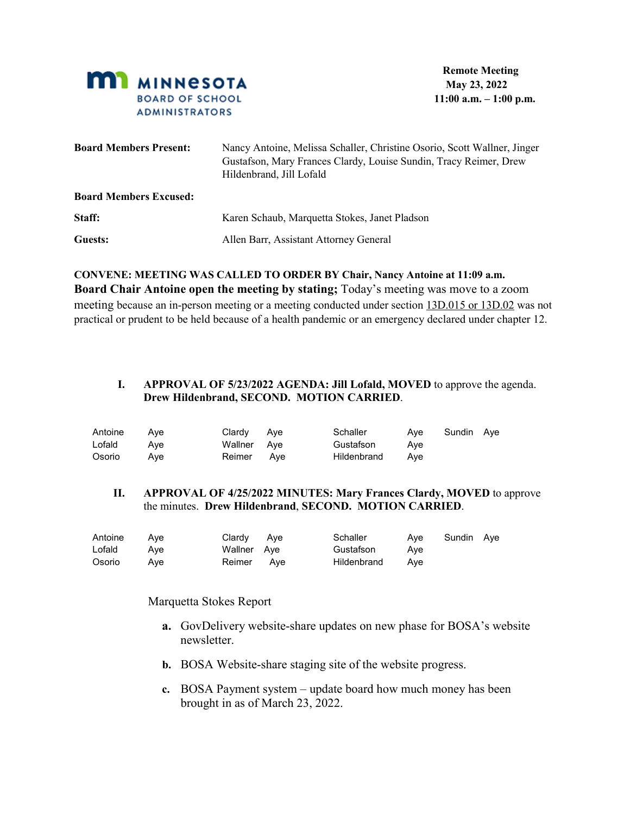

| <b>Board Members Present:</b> | Nancy Antoine, Melissa Schaller, Christine Osorio, Scott Wallner, Jinger<br>Gustafson, Mary Frances Clardy, Louise Sundin, Tracy Reimer, Drew<br>Hildenbrand, Jill Lofald |
|-------------------------------|---------------------------------------------------------------------------------------------------------------------------------------------------------------------------|
| <b>Board Members Excused:</b> |                                                                                                                                                                           |
| Staff:                        | Karen Schaub, Marquetta Stokes, Janet Pladson                                                                                                                             |
| Guests:                       | Allen Barr, Assistant Attorney General                                                                                                                                    |

**CONVENE: MEETING WAS CALLED TO ORDER BY Chair, Nancy Antoine at 11:09 a.m. Board Chair Antoine open the meeting by stating;** Today's meeting was move to a zoom meeting because an in-person meeting or a meeting conducted under section [13D.015 or 13D.02](https://nam12.safelinks.protection.outlook.com/?url=https%3A%2F%2Fwww.revisor.mn.gov%2Fstatutes%2Fcite%2F13D.015&data=05%7C01%7C%7C58f0ca08f1bb4944e84808da3a6cf979%7C84df9e7fe9f640afb435aaaaaaaaaaaa%7C1%7C0%7C637886536972907220%7CUnknown%7CTWFpbGZsb3d8eyJWIjoiMC4wLjAwMDAiLCJQIjoiV2luMzIiLCJBTiI6Ik1haWwiLCJXVCI6Mn0%3D%7C3000%7C%7C%7C&sdata=E7fJLaqzIqwpkFlNbxXNooW25w2IXI0llpZNb1LNxy8%3D&reserved=0) was not practical or prudent to be held because of a health pandemic or an emergency declared under chapter 12.

### **I. APPROVAL OF 5/23/2022 AGENDA: Jill Lofald, MOVED** to approve the agenda. **Drew Hildenbrand, SECOND. MOTION CARRIED**.

| Antoine | Ave | Clardy Aye  | Schaller        |     | Aye Sundin Aye |  |
|---------|-----|-------------|-----------------|-----|----------------|--|
| Lofald  | Ave | Wallner Aye | Gustafson       | Ave |                |  |
| Osorio  | Ave | Reimer Ave  | Hildenbrand Ave |     |                |  |

### **II. APPROVAL OF 4/25/2022 MINUTES: Mary Frances Clardy, MOVED** to approve the minutes. **Drew Hildenbrand**, **SECOND. MOTION CARRIED**.

| Antoine | Ave | Clardy Aye  | Schaller        |     | Aye Sundin Aye |  |
|---------|-----|-------------|-----------------|-----|----------------|--|
| Lofald  | Ave | Wallner Aye | Gustafson       | Ave |                |  |
| Osorio  | Ave | Reimer Ave  | Hildenbrand Ave |     |                |  |

### Marquetta Stokes Report

- **a.** GovDelivery website-share updates on new phase for BOSA's website newsletter.
- **b.** BOSA Website-share staging site of the website progress.
- **c.** BOSA Payment system update board how much money has been brought in as of March 23, 2022.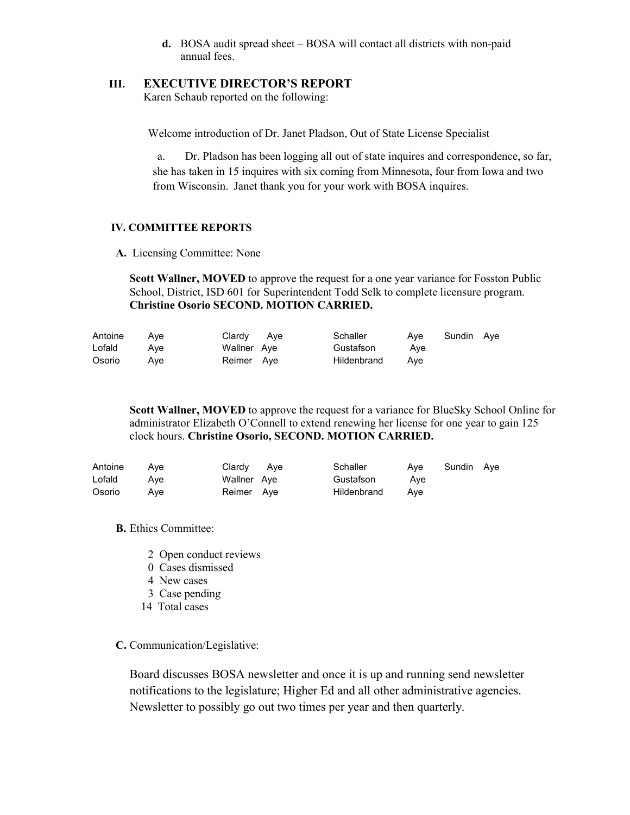**d.** BOSA audit spread sheet – BOSA will contact all districts with non-paid annual fees.

### **III. EXECUTIVE DIRECTOR'S REPORT**

Karen Schaub reported on the following:

Welcome introduction of Dr. Janet Pladson, Out of State License Specialist

a. Dr. Pladson has been logging all out of state inquires and correspondence, so far, she has taken in 15 inquires with six coming from Minnesota, four from Iowa and two from Wisconsin. Janet thank you for your work with BOSA inquires.

## **IV. COMMITTEE REPORTS**

**A.** Licensing Committee: None

**Scott Wallner, MOVED** to approve the request for a one year variance for Fosston Public School, District, ISD 601 for Superintendent Todd Selk to complete licensure program. **Christine Osorio SECOND. MOTION CARRIED.**

| Antoine | Ave | Clardy Aye  | Schaller    | Ave | Sundin Ave |  |
|---------|-----|-------------|-------------|-----|------------|--|
| Lofald  | Ave | Wallner Aye | Gustafson   | Ave |            |  |
| Osorio  | Ave | Reimer Ave  | Hildenbrand | Ave |            |  |

**Scott Wallner, MOVED** to approve the request for a variance for BlueSky School Online for administrator Elizabeth O'Connell to extend renewing her license for one year to gain 125 clock hours. **Christine Osorio, SECOND. MOTION CARRIED.** 

| Antoine | Ave | Clardy Aye  | Schaller    | Ave | Sundin Ave |  |
|---------|-----|-------------|-------------|-----|------------|--|
| Lofald  | Ave | Wallner Aye | Gustafson   | Ave |            |  |
| Osorio  | Ave | Reimer Ave  | Hildenbrand | Ave |            |  |

**B.** Ethics Committee:

- 2 Open conduct reviews
- 0 Cases dismissed
- 4 New cases
- 3 Case pending
- 14 Total cases

**C.** Communication/Legislative:

Board discusses BOSA newsletter and once it is up and running send newsletter notifications to the legislature; Higher Ed and all other administrative agencies. Newsletter to possibly go out two times per year and then quarterly.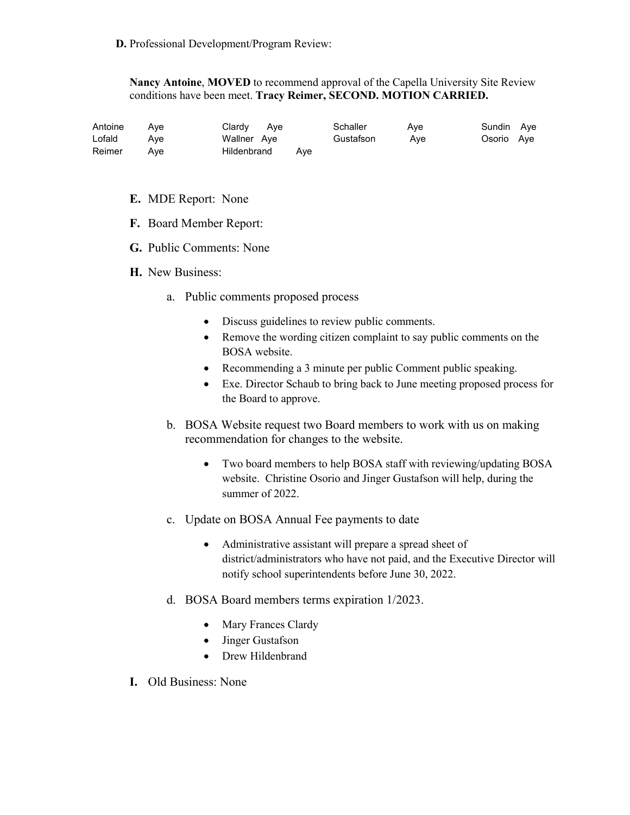**Nancy Antoine**, **MOVED** to recommend approval of the Capella University Site Review conditions have been meet. **Tracy Reimer, SECOND. MOTION CARRIED.**

| Antoine | Ave | Clardy Aye      | Schaller  | Ave | Sundin Aye |  |
|---------|-----|-----------------|-----------|-----|------------|--|
| Lofald  | Ave | Wallner Aye     | Gustafson | Ave | Osorio Aye |  |
| Reimer  | Ave | Hildenbrand Ave |           |     |            |  |

- **E.** MDE Report: None
- **F.** Board Member Report:
- **G.** Public Comments: None
- **H.** New Business:
	- a. Public comments proposed process
		- Discuss guidelines to review public comments.
		- Remove the wording citizen complaint to say public comments on the BOSA website.
		- Recommending a 3 minute per public Comment public speaking.
		- Exe. Director Schaub to bring back to June meeting proposed process for the Board to approve.
	- b. BOSA Website request two Board members to work with us on making recommendation for changes to the website.
		- Two board members to help BOSA staff with reviewing/updating BOSA website. Christine Osorio and Jinger Gustafson will help, during the summer of 2022.
	- c. Update on BOSA Annual Fee payments to date
		- Administrative assistant will prepare a spread sheet of district/administrators who have not paid, and the Executive Director will notify school superintendents before June 30, 2022.
	- d. BOSA Board members terms expiration 1/2023.
		- Mary Frances Clardy
		- Jinger Gustafson
		- Drew Hildenbrand
- **I.** Old Business: None